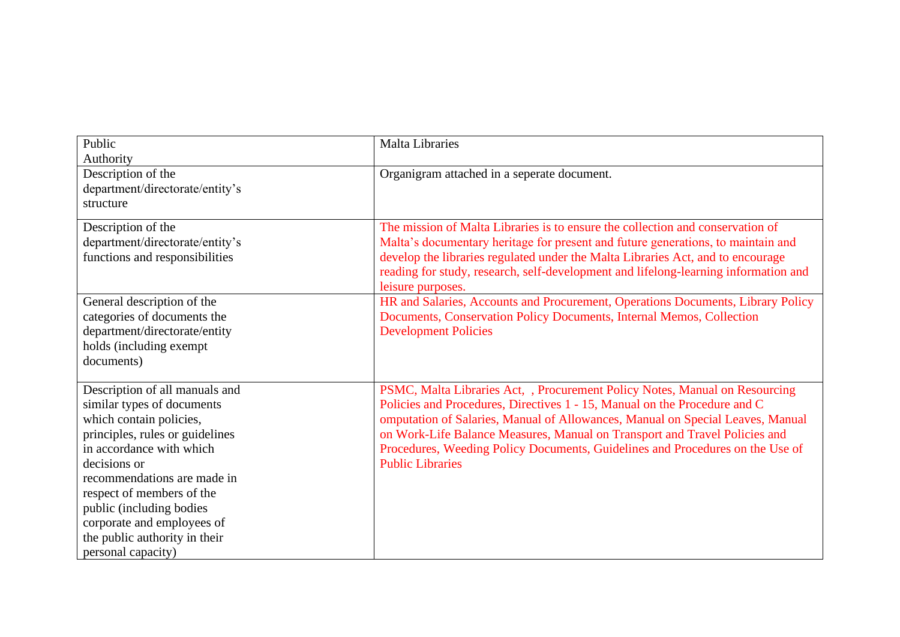| Public                                                                                                                                                                                                                                                                                                                                              | <b>Malta Libraries</b>                                                                                                                                                                                                                                                                                                                                                                                                               |
|-----------------------------------------------------------------------------------------------------------------------------------------------------------------------------------------------------------------------------------------------------------------------------------------------------------------------------------------------------|--------------------------------------------------------------------------------------------------------------------------------------------------------------------------------------------------------------------------------------------------------------------------------------------------------------------------------------------------------------------------------------------------------------------------------------|
| Authority                                                                                                                                                                                                                                                                                                                                           |                                                                                                                                                                                                                                                                                                                                                                                                                                      |
| Description of the<br>department/directorate/entity's<br>structure                                                                                                                                                                                                                                                                                  | Organigram attached in a seperate document.                                                                                                                                                                                                                                                                                                                                                                                          |
| Description of the<br>department/directorate/entity's<br>functions and responsibilities                                                                                                                                                                                                                                                             | The mission of Malta Libraries is to ensure the collection and conservation of<br>Malta's documentary heritage for present and future generations, to maintain and<br>develop the libraries regulated under the Malta Libraries Act, and to encourage<br>reading for study, research, self-development and lifelong-learning information and<br>leisure purposes.                                                                    |
| General description of the<br>categories of documents the<br>department/directorate/entity<br>holds (including exempt<br>documents)                                                                                                                                                                                                                 | HR and Salaries, Accounts and Procurement, Operations Documents, Library Policy<br>Documents, Conservation Policy Documents, Internal Memos, Collection<br><b>Development Policies</b>                                                                                                                                                                                                                                               |
| Description of all manuals and<br>similar types of documents<br>which contain policies,<br>principles, rules or guidelines<br>in accordance with which<br>decisions or<br>recommendations are made in<br>respect of members of the<br>public (including bodies<br>corporate and employees of<br>the public authority in their<br>personal capacity) | PSMC, Malta Libraries Act, , Procurement Policy Notes, Manual on Resourcing<br>Policies and Procedures, Directives 1 - 15, Manual on the Procedure and C<br>omputation of Salaries, Manual of Allowances, Manual on Special Leaves, Manual<br>on Work-Life Balance Measures, Manual on Transport and Travel Policies and<br>Procedures, Weeding Policy Documents, Guidelines and Procedures on the Use of<br><b>Public Libraries</b> |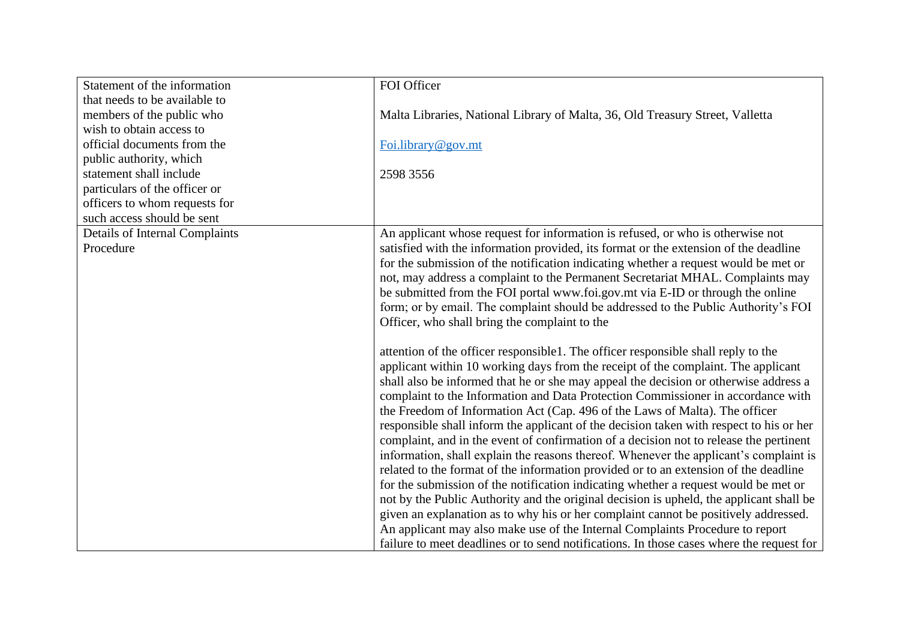| Statement of the information          | FOI Officer                                                                              |
|---------------------------------------|------------------------------------------------------------------------------------------|
| that needs to be available to         |                                                                                          |
| members of the public who             | Malta Libraries, National Library of Malta, 36, Old Treasury Street, Valletta            |
| wish to obtain access to              |                                                                                          |
| official documents from the           | Foi.library@gov.mt                                                                       |
| public authority, which               |                                                                                          |
| statement shall include               | 2598 3556                                                                                |
| particulars of the officer or         |                                                                                          |
| officers to whom requests for         |                                                                                          |
| such access should be sent            |                                                                                          |
| <b>Details of Internal Complaints</b> | An applicant whose request for information is refused, or who is otherwise not           |
| Procedure                             | satisfied with the information provided, its format or the extension of the deadline     |
|                                       | for the submission of the notification indicating whether a request would be met or      |
|                                       | not, may address a complaint to the Permanent Secretariat MHAL. Complaints may           |
|                                       | be submitted from the FOI portal www.foi.gov.mt via E-ID or through the online           |
|                                       | form; or by email. The complaint should be addressed to the Public Authority's FOI       |
|                                       | Officer, who shall bring the complaint to the                                            |
|                                       |                                                                                          |
|                                       | attention of the officer responsible 1. The officer responsible shall reply to the       |
|                                       | applicant within 10 working days from the receipt of the complaint. The applicant        |
|                                       | shall also be informed that he or she may appeal the decision or otherwise address a     |
|                                       | complaint to the Information and Data Protection Commissioner in accordance with         |
|                                       | the Freedom of Information Act (Cap. 496 of the Laws of Malta). The officer              |
|                                       | responsible shall inform the applicant of the decision taken with respect to his or her  |
|                                       | complaint, and in the event of confirmation of a decision not to release the pertinent   |
|                                       | information, shall explain the reasons thereof. Whenever the applicant's complaint is    |
|                                       | related to the format of the information provided or to an extension of the deadline     |
|                                       | for the submission of the notification indicating whether a request would be met or      |
|                                       | not by the Public Authority and the original decision is upheld, the applicant shall be  |
|                                       | given an explanation as to why his or her complaint cannot be positively addressed.      |
|                                       | An applicant may also make use of the Internal Complaints Procedure to report            |
|                                       | failure to meet deadlines or to send notifications. In those cases where the request for |